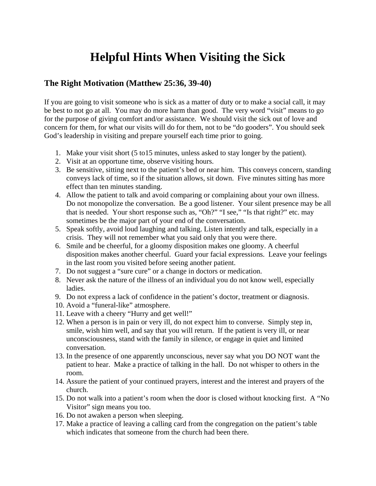## **Helpful Hints When Visiting the Sick**

## **The Right Motivation (Matthew 25:36, 39-40)**

If you are going to visit someone who is sick as a matter of duty or to make a social call, it may be best to not go at all. You may do more harm than good. The very word "visit" means to go for the purpose of giving comfort and/or assistance. We should visit the sick out of love and concern for them, for what our visits will do for them, not to be "do gooders". You should seek God's leadership in visiting and prepare yourself each time prior to going.

- 1. Make your visit short (5 to15 minutes, unless asked to stay longer by the patient).
- 2. Visit at an opportune time, observe visiting hours.
- 3. Be sensitive, sitting next to the patient's bed or near him. This conveys concern, standing conveys lack of time, so if the situation allows, sit down. Five minutes sitting has more effect than ten minutes standing.
- 4. Allow the patient to talk and avoid comparing or complaining about your own illness. Do not monopolize the conversation. Be a good listener. Your silent presence may be all that is needed. Your short response such as, "Oh?" "I see," "Is that right?" etc. may sometimes be the major part of your end of the conversation.
- 5. Speak softly, avoid loud laughing and talking. Listen intently and talk, especially in a crisis. They will not remember what you said only that you were there.
- 6. Smile and be cheerful, for a gloomy disposition makes one gloomy. A cheerful disposition makes another cheerful. Guard your facial expressions. Leave your feelings in the last room you visited before seeing another patient.
- 7. Do not suggest a "sure cure" or a change in doctors or medication.
- 8. Never ask the nature of the illness of an individual you do not know well, especially ladies.
- 9. Do not express a lack of confidence in the patient's doctor, treatment or diagnosis.
- 10. Avoid a "funeral-like" atmosphere.
- 11. Leave with a cheery "Hurry and get well!"
- 12. When a person is in pain or very ill, do not expect him to converse. Simply step in, smile, wish him well, and say that you will return. If the patient is very ill, or near unconsciousness, stand with the family in silence, or engage in quiet and limited conversation.
- 13. In the presence of one apparently unconscious, never say what you DO NOT want the patient to hear. Make a practice of talking in the hall. Do not whisper to others in the room.
- 14. Assure the patient of your continued prayers, interest and the interest and prayers of the church.
- 15. Do not walk into a patient's room when the door is closed without knocking first. A "No Visitor" sign means you too.
- 16. Do not awaken a person when sleeping.
- 17. Make a practice of leaving a calling card from the congregation on the patient's table which indicates that someone from the church had been there.